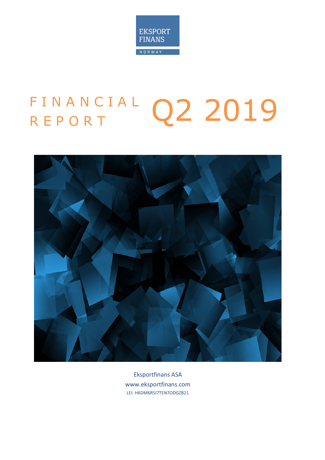

# FINANCIAL Q2 2019



Eksportfinans ASA www.eksportfinans.com LEI: HKDM6R5I7TEN7ODGZB21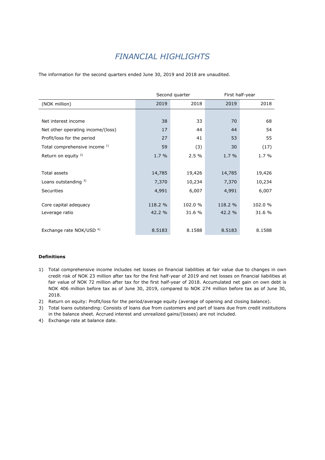# *FINANCIAL HIGHLIGHTS*

The information for the second quarters ended June 30, 2019 and 2018 are unaudited.

|                                     |         | Second quarter | First half-year |         |  |
|-------------------------------------|---------|----------------|-----------------|---------|--|
| (NOK million)                       | 2019    | 2018           | 2019            | 2018    |  |
|                                     |         |                |                 |         |  |
| Net interest income                 | 38      | 33             | 70              | 68      |  |
| Net other operating income/(loss)   | 17      | 44             | 44              | 54      |  |
| Profit/loss for the period          | 27      | 41             | 53              | 55      |  |
| Total comprehensive income 1)       | 59      | (3)            | 30              | (17)    |  |
| Return on equity <sup>2)</sup>      | 1.7%    | 2.5%           | 1.7 %           | $1.7\%$ |  |
|                                     |         |                |                 |         |  |
| Total assets                        | 14,785  | 19,426         | 14,785          | 19,426  |  |
| Loans outstanding $3)$              | 7,370   | 10,234         | 7,370           | 10,234  |  |
| <b>Securities</b>                   | 4,991   | 6,007          | 4,991           | 6,007   |  |
|                                     |         |                |                 |         |  |
| Core capital adequacy               | 118.2 % | 102.0 %        | 118.2 %         | 102.0 % |  |
| Leverage ratio                      | 42.2 %  | 31.6 %         | 42.2 %          | 31.6 %  |  |
|                                     |         |                |                 |         |  |
| Exchange rate NOK/USD <sup>4)</sup> | 8.5183  | 8.1588         | 8.5183          | 8.1588  |  |

#### **Definitions**

- 1) Total comprehensive income includes net losses on financial liabilities at fair value due to changes in own credit risk of NOK 23 million after tax for the first half-year of 2019 and net losses on financial liabilities at fair value of NOK 72 million after tax for the first half-year of 2018. Accumulated net gain on own debt is NOK 406 million before tax as of June 30, 2019, compared to NOK 274 million before tax as of June 30, 2018.
- 2) Return on equity: Profit/loss for the period/average equity (average of opening and closing balance).
- 3) Total loans outstanding: Consists of loans due from customers and part of loans due from credit institutions in the balance sheet. Accrued interest and unrealized gains/(losses) are not included.
- 4) Exchange rate at balance date.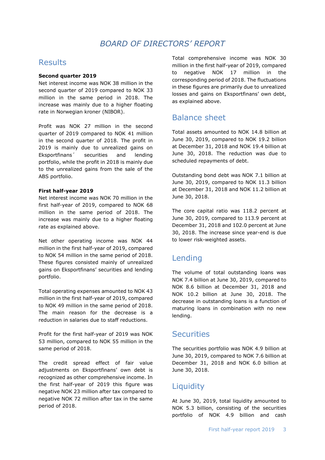## *BOARD OF DIRECTORS' REPORT*

## **Results**

#### **Second quarter 2019**

Net interest income was NOK 38 million in the second quarter of 2019 compared to NOK 33 million in the same period in 2018. The increase was mainly due to a higher floating rate in Norwegian kroner (NIBOR).

Profit was NOK 27 million in the second quarter of 2019 compared to NOK 41 million in the second quarter of 2018. The profit in 2019 is mainly due to unrealized gains on Eksportfinans´ securities and lending portfolio, while the profit in 2018 is mainly due to the unrealized gains from the sale of the ABS portfolio.

#### **First half-year 2019**

Net interest income was NOK 70 million in the first half-year of 2019, compared to NOK 68 million in the same period of 2018. The increase was mainly due to a higher floating rate as explained above.

Net other operating income was NOK 44 million in the first half-year of 2019, compared to NOK 54 million in the same period of 2018. These figures consisted mainly of unrealized gains on Eksportfinans' securities and lending portfolio.

Total operating expenses amounted to NOK 43 million in the first half-year of 2019, compared to NOK 49 million in the same period of 2018. The main reason for the decrease is a reduction in salaries due to staff reductions.

Profit for the first half-year of 2019 was NOK 53 million, compared to NOK 55 million in the same period of 2018.

The credit spread effect of fair value adjustments on Eksportfinans' own debt is recognized as other comprehensive income. In the first half-year of 2019 this figure was negative NOK 23 million after tax compared to negative NOK 72 million after tax in the same period of 2018.

Total comprehensive income was NOK 30 million in the first half-year of 2019, compared to negative NOK 17 million in the corresponding period of 2018. The fluctuations in these figures are primarily due to unrealized losses and gains on Eksportfinans' own debt, as explained above.

## Balance sheet

Total assets amounted to NOK 14.8 billion at June 30, 2019, compared to NOK 19.2 billion at December 31, 2018 and NOK 19.4 billion at June 30, 2018. The reduction was due to scheduled repayments of debt.

Outstanding bond debt was NOK 7.1 billion at June 30, 2019, compared to NOK 11.3 billion at December 31, 2018 and NOK 11.2 billion at June 30, 2018.

The core capital ratio was 118.2 percent at June 30, 2019, compared to 113.9 percent at December 31, 2018 and 102.0 percent at June 30, 2018. The increase since year-end is due to lower risk-weighted assets.

## Lending

The volume of total outstanding loans was NOK 7.4 billion at June 30, 2019, compared to NOK 8.6 billion at December 31, 2018 and NOK 10.2 billion at June 30, 2018. The decrease in outstanding loans is a function of maturing loans in combination with no new lending.

### **Securities**

The securities portfolio was NOK 4.9 billion at June 30, 2019, compared to NOK 7.6 billion at December 31, 2018 and NOK 6.0 billion at June 30, 2018.

## **Liquidity**

At June 30, 2019, total liquidity amounted to NOK 5.3 billion, consisting of the securities portfolio of NOK 4.9 billion and cash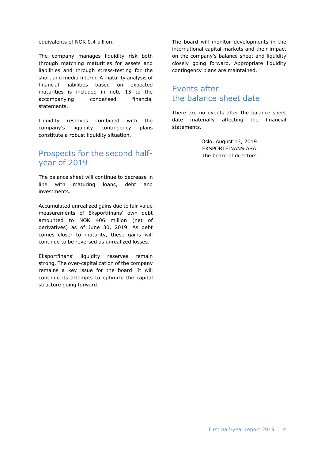equivalents of NOK 0.4 billion.

The company manages liquidity risk both through matching maturities for assets and liabilities and through stress-testing for the short and medium term. A maturity analysis of financial liabilities based on expected maturities is included in note 15 to the accompanying condensed financial statements.

Liquidity reserves combined with the company's liquidity contingency plans constitute a robust liquidity situation.

## Prospects for the second halfyear of 2019

The balance sheet will continue to decrease in line with maturing loans, debt and investments.

Accumulated unrealized gains due to fair value measurements of Eksportfinans' own debt amounted to NOK 406 million (net of derivatives) as of June 30, 2019. As debt comes closer to maturity, these gains will continue to be reversed as unrealized losses.

Eksportfinans' liquidity reserves remain strong. The over-capitalization of the company remains a key issue for the board. It will continue its attempts to optimize the capital structure going forward.

The board will monitor developments in the international capital markets and their impact on the company's balance sheet and liquidity closely going forward. Appropriate liquidity contingency plans are maintained.

## Events after the balance sheet date

There are no events after the balance sheet date materially affecting the financial statements.

> Oslo, August 13, 2019 EKSPORTFINANS ASA The board of directors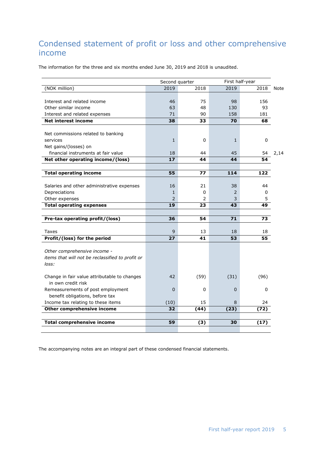# Condensed statement of profit or loss and other comprehensive income

The information for the three and six months ended June 30, 2019 and 2018 is unaudited.

|                                                  |                 | First half-year<br>Second quarter |                |           |      |
|--------------------------------------------------|-----------------|-----------------------------------|----------------|-----------|------|
| (NOK million)                                    | 2019            | 2018                              | 2019           | 2018      | Note |
|                                                  |                 |                                   |                |           |      |
| Interest and related income                      | 46              | 75                                | 98             | 156       |      |
| Other similar income                             | 63              | 48                                | 130            | 93        |      |
| Interest and related expenses                    | 71              | 90                                | 158            | 181       |      |
| <b>Net interest income</b>                       | $\overline{38}$ | 33                                | 70             | 68        |      |
| Net commissions related to banking               |                 |                                   |                |           |      |
| services                                         | $\mathbf{1}$    | 0                                 | $\mathbf{1}$   | 0         |      |
| Net gains/(losses) on                            |                 |                                   |                |           |      |
| financial instruments at fair value              | 18              | 44                                | 45             | 54        | 2,14 |
| Net other operating income/(loss)                | 17              | 44                                | 44             | 54        |      |
|                                                  |                 |                                   |                |           |      |
| <b>Total operating income</b>                    | 55              | 77                                | 114            | 122       |      |
|                                                  |                 |                                   |                |           |      |
| Salaries and other administrative expenses       | 16              | 21                                | 38             | 44        |      |
| Depreciations                                    | $\mathbf{1}$    | 0                                 | $\overline{2}$ | 0         |      |
| Other expenses                                   | $\overline{2}$  | 2                                 | 3              | 5         |      |
| <b>Total operating expenses</b>                  | 19              | 23                                | 43             | 49        |      |
| Pre-tax operating profit/(loss)                  | 36              | 54                                | 71             | 73        |      |
|                                                  |                 |                                   |                |           |      |
| Taxes                                            | 9               | 13                                | 18             | 18        |      |
| Profit/(loss) for the period                     | $\overline{27}$ | 41                                | 53             | 55        |      |
|                                                  |                 |                                   |                |           |      |
| Other comprehensive income -                     |                 |                                   |                |           |      |
| items that will not be reclassified to profit or |                 |                                   |                |           |      |
| loss:                                            |                 |                                   |                |           |      |
| Change in fair value attributable to changes     | 42              | (59)                              | (31)           | (96)      |      |
| in own credit risk                               |                 |                                   |                |           |      |
| Remeasurements of post employment                | $\mathbf 0$     | 0                                 | 0              | $\pmb{0}$ |      |
| benefit obligations, before tax                  |                 |                                   |                |           |      |
| Income tax relating to these items               | (10)            | 15                                | 8              | 24        |      |
| Other comprehensive income                       | 32              | (44)                              | (23)           | (72)      |      |
|                                                  |                 |                                   |                |           |      |
| <b>Total comprehensive income</b>                | 59              | (3)                               | 30             | (17)      |      |
|                                                  |                 |                                   |                |           |      |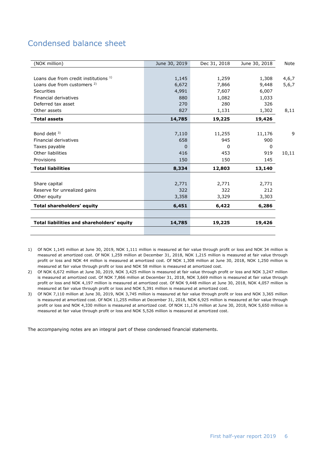# Condensed balance sheet

| (NOK million)                              | June 30, 2019 | Dec 31, 2018 | June 30, 2018 | Note  |
|--------------------------------------------|---------------|--------------|---------------|-------|
|                                            |               |              |               |       |
| Loans due from credit institutions 1)      | 1,145         | 1,259        | 1,308         | 4,6,7 |
| Loans due from customers <sup>2)</sup>     | 6,672         | 7,866        | 9,448         | 5,6,7 |
| Securities                                 | 4,991         | 7,607        | 6,007         |       |
| Financial derivatives                      | 880           | 1,082        | 1,033         |       |
| Deferred tax asset                         | 270           | 280          | 326           |       |
| Other assets                               | 827           | 1,131        | 1,302         | 8,11  |
| <b>Total assets</b>                        | 14,785        | 19,225       | 19,426        |       |
|                                            |               |              |               |       |
| Bond debt <sup>3)</sup>                    | 7,110         | 11,255       | 11,176        | 9     |
| Financial derivatives                      | 658           | 945          | 900           |       |
| Taxes payable                              | <sup>0</sup>  | <sup>0</sup> | 0             |       |
| Other liabilities                          | 416           | 453          | 919           | 10,11 |
| Provisions                                 | 150           | 150          | 145           |       |
| <b>Total liabilities</b>                   | 8,334         | 12,803       | 13,140        |       |
|                                            |               |              |               |       |
| Share capital                              | 2,771         | 2,771        | 2,771         |       |
| Reserve for unrealized gains               | 322           | 322          | 212           |       |
| Other equity                               | 3,358         | 3,329        | 3,303         |       |
| <b>Total shareholders' equity</b>          | 6,451         | 6,422        | 6,286         |       |
|                                            |               |              |               |       |
| Total liabilities and shareholders' equity | 14,785        | 19,225       | 19,426        |       |
|                                            |               |              |               |       |

1) Of NOK 1,145 million at June 30, 2019, NOK 1,111 million is measured at fair value through profit or loss and NOK 34 million is measured at amortized cost. Of NOK 1,259 million at December 31, 2018, NOK 1,215 million is measured at fair value through profit or loss and NOK 44 million is measured at amortized cost. Of NOK 1,308 million at June 30, 2018, NOK 1,250 million is measured at fair value through profit or loss and NOK 58 million is measured at amortized cost.

2) Of NOK 6,672 million at June 30, 2019, NOK 3,425 million is measured at fair value through profit or loss and NOK 3,247 million is measured at amortized cost. Of NOK 7,866 million at December 31, 2018, NOK 3,669 million is measured at fair value through profit or loss and NOK 4,197 million is measured at amortized cost. Of NOK 9,448 million at June 30, 2018, NOK 4,057 million is measured at fair value through profit or loss and NOK 5,391 million is measured at amortized cost.

3) Of NOK 7,110 million at June 30, 2019, NOK 3,745 million is measured at fair value through profit or loss and NOK 3,365 million is measured at amortized cost. Of NOK 11,255 million at December 31, 2018, NOK 6,925 million is measured at fair value through profit or loss and NOK 4,330 million is measured at amortized cost. Of NOK 11,176 million at June 30, 2018, NOK 5,650 million is measured at fair value through profit or loss and NOK 5,526 million is measured at amortized cost.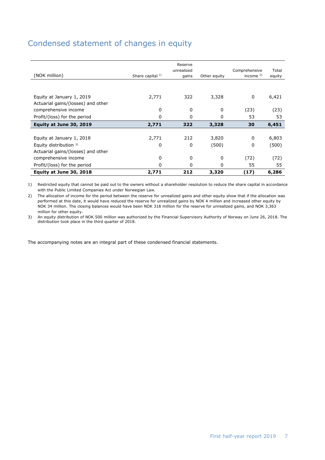# Condensed statement of changes in equity

|                                                                 |                  | Reserve<br>unrealized |              | Comprehensive | Total  |
|-----------------------------------------------------------------|------------------|-----------------------|--------------|---------------|--------|
| (NOK million)                                                   | Share capital 1) | gains                 | Other equity | income $2$ )  | equity |
|                                                                 |                  |                       |              |               |        |
| Equity at January 1, 2019<br>Actuarial gains/(losses) and other | 2,771            | 322                   | 3,328        | 0             | 6,421  |
| comprehensive income                                            | 0                | 0                     | 0            | (23)          | (23)   |
| Profit/(loss) for the period                                    | 0                | 0                     | 0            | 53            | 53     |
| Equity at June 30, 2019                                         | 2,771            | 322                   | 3,328        | 30            | 6,451  |
|                                                                 |                  |                       |              |               |        |
| Equity at January 1, 2018                                       | 2,771            | 212                   | 3,820        | $\Omega$      | 6,803  |
| Equity distribution 3)                                          | 0                | 0                     | (500)        | 0             | (500)  |
| Actuarial gains/(losses) and other                              |                  |                       |              |               |        |
| comprehensive income                                            | 0                | 0                     | 0            | (72)          | (72)   |
| Profit/(loss) for the period                                    | 0                | 0                     | 0            | 55            | 55     |
| Equity at June 30, 2018                                         | 2,771            | 212                   | 3,320        | (17)          | 6,286  |

1) Restricted equity that cannot be paid out to the owners without a shareholder resolution to reduce the share capital in accordance with the Public Limited Companies Act under Norwegian Law.

2) The allocation of income for the period between the reserve for unrealized gains and other equity show that if the allocation was performed at this date, it would have reduced the reserve for unrealized gains by NOK 4 million and increased other equity by NOK 34 million. The closing balances would have been NOK 318 million for the reserve for unrealized gains, and NOK 3,363 million for other equity.

3) An equity distribution of NOK 500 million was authorized by the Financial Supervisory Authority of Norway on June 26, 2018. The distribution took place in the third quarter of 2018.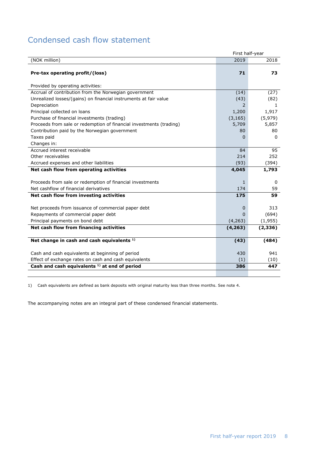## Condensed cash flow statement

| First half-year                                                     |          |          |  |
|---------------------------------------------------------------------|----------|----------|--|
| (NOK million)                                                       | 2019     | 2018     |  |
| Pre-tax operating profit/(loss)                                     | 71       | 73       |  |
| Provided by operating activities:                                   |          |          |  |
| Accrual of contribution from the Norwegian government               | (14)     | (27)     |  |
| Unrealized losses/(gains) on financial instruments at fair value    | (43)     | (82)     |  |
| Depreciation                                                        | 2        | 1        |  |
| Principal collected on loans                                        | 1,200    | 1,917    |  |
| Purchase of financial investments (trading)                         | (3, 165) | (5,979)  |  |
| Proceeds from sale or redemption of financial investments (trading) | 5,709    | 5,857    |  |
| Contribution paid by the Norwegian government                       | 80       | 80       |  |
| Taxes paid                                                          | $\Omega$ | $\Omega$ |  |
| Changes in:                                                         |          |          |  |
| Accrued interest receivable                                         | 84       | 95       |  |
| Other receivables                                                   | 214      | 252      |  |
| Accrued expenses and other liabilities                              | (93)     | (394)    |  |
| Net cash flow from operating activities                             | 4,045    | 1,793    |  |
|                                                                     |          |          |  |
| Proceeds from sale or redemption of financial investments           | 1        | 0        |  |
| Net cashflow of financial derivatives                               | 174      | 59       |  |
| Net cash flow from investing activities                             | 175      | 59       |  |
|                                                                     |          |          |  |
| Net proceeds from issuance of commercial paper debt                 | 0        | 313      |  |
| Repayments of commercial paper debt                                 | $\Omega$ | (694)    |  |
| Principal payments on bond debt                                     | (4, 263) | (1,955)  |  |
| Net cash flow from financing activities                             | (4, 263) | (2, 336) |  |
|                                                                     |          |          |  |
| Net change in cash and cash equivalents <sup>1)</sup>               | (43)     | (484)    |  |
| Cash and cash equivalents at beginning of period                    | 430      | 941      |  |
| Effect of exchange rates on cash and cash equivalents               | (1)      | (10)     |  |
| Cash and cash equivalents <sup>1)</sup> at end of period            | 386      | 447      |  |
|                                                                     |          |          |  |

1) Cash equivalents are defined as bank deposits with original maturity less than three months. See note 4.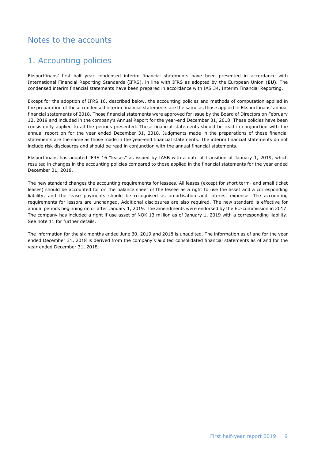## Notes to the accounts

## 1. Accounting policies

Eksportfinans' first half year condensed interim financial statements have been presented in accordance with International Financial Reporting Standards (IFRS), in line with IFRS as adopted by the European Union (**EU**). The condensed interim financial statements have been prepared in accordance with IAS 34, Interim Financial Reporting.

Except for the adoption of IFRS 16, described below, the accounting policies and methods of computation applied in the preparation of these condensed interim financial statements are the same as those applied in Eksportfinans' annual financial statements of 2018. Those financial statements were approved for issue by the Board of Directors on February 12, 2019 and included in the company's Annual Report for the year-end December 31, 2018. These policies have been consistently applied to all the periods presented. These financial statements should be read in conjunction with the annual report on for the year ended December 31, 2018. Judgments made in the preparations of these financial statements are the same as those made in the year-end financial statements. The interim financial statements do not include risk disclosures and should be read in conjunction with the annual financial statements.

Eksportfinans has adopted IFRS 16 "leases" as issued by IASB with a date of transition of January 1, 2019, which resulted in changes in the accounting policies compared to those applied in the financial statements for the year ended December 31, 2018.

The new standard changes the accounting requirements for lessees. All leases (except for short term- and small ticket leases) should be accounted for on the balance sheet of the lessee as a right to use the asset and a corresponding liability, and the lease payments should be recognised as amortisation and interest expense. The accounting requirements for lessors are unchanged. Additional disclosures are also required. The new standard is effective for annual periods beginning on or after January 1, 2019. The amendments were endorsed by the EU-commission in 2017. The company has included a right if use asset of NOK 13 million as of January 1, 2019 with a corresponding liability. See note 11 for further details.

The information for the six months ended June 30, 2019 and 2018 is unaudited. The information as of and for the year ended December 31, 2018 is derived from the company's audited consolidated financial statements as of and for the year ended December 31, 2018.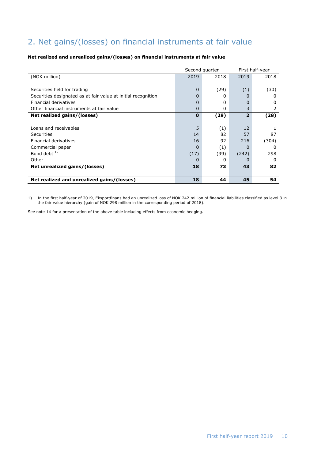# 2. Net gains/(losses) on financial instruments at fair value

#### **Net realized and unrealized gains/(losses) on financial instruments at fair value**

|                                                               |          | Second quarter | First half-year |          |
|---------------------------------------------------------------|----------|----------------|-----------------|----------|
| (NOK million)                                                 | 2019     | 2018           | 2019            | 2018     |
|                                                               |          |                |                 |          |
| Securities held for trading                                   | $\Omega$ | (29)           | (1)             | (30)     |
| Securities designated as at fair value at initial recognition | 0        | 0              | O               | $^{(1)}$ |
| Financial derivatives                                         | $\Omega$ | 0              | 0               | O        |
| Other financial instruments at fair value                     | $\Omega$ | 0              | 3               |          |
| Net realized gains/(losses)                                   | $\bf{0}$ | (29)           | 2               | (28)     |
|                                                               |          |                |                 |          |
| Loans and receivables                                         | 5        | (1)            | 12              |          |
| Securities                                                    | 14       | 82             | 57              | 87       |
| Financial derivatives                                         | 16       | 92             | 216             | (304)    |
| Commercial paper                                              | 0        | (1)            | O               | $^{(1)}$ |
| Bond debt $1$ )                                               | (17)     | (99)           | (242)           | 298      |
| Other                                                         | 0        | 0              | O               | 0        |
| Net unrealized gains/(losses)                                 | 18       | 73             | 43              | 82       |
|                                                               |          |                |                 |          |
| Net realized and unrealized gains/(losses)                    | 18       | 44             | 45              | 54       |

1) In the first half-year of 2019, Eksportfinans had an unrealized loss of NOK 242 million of financial liabilities classified as level 3 in the fair value hierarchy (gain of NOK 298 million in the corresponding period of 2018).

See note 14 for a presentation of the above table including effects from economic hedging.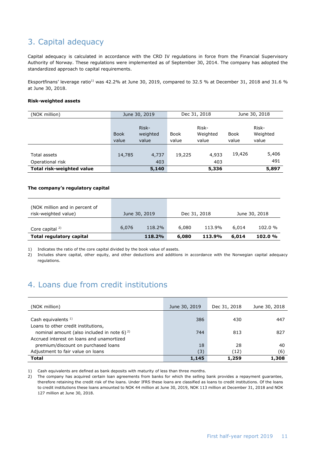## 3. Capital adequacy

Capital adequacy is calculated in accordance with the CRD IV regulations in force from the Financial Supervisory Authority of Norway. These regulations were implemented as of September 30, 2014. The company has adopted the standardized approach to capital requirements.

Eksportfinans' leverage ratio<sup>1)</sup> was 42.2% at June 30, 2019, compared to 32.5 % at December 31, 2018 and 31.6 % at June 30, 2018.

#### **Risk-weighted assets**

| (NOK million)                    |                      | June 30, 2019              | Dec 31, 2018         |                            |               | June 30, 2018              |
|----------------------------------|----------------------|----------------------------|----------------------|----------------------------|---------------|----------------------------|
|                                  | <b>Book</b><br>value | Risk-<br>weighted<br>value | <b>Book</b><br>value | Risk-<br>Weighted<br>value | Book<br>value | Risk-<br>Weighted<br>value |
| Total assets<br>Operational risk | 14,785               | 4,737<br>403               | 19,225               | 4,933<br>403               | 19,426        | 5,406<br>491               |
| <b>Total risk-weighted value</b> |                      | 5,140                      |                      | 5,336                      |               | 5,897                      |

#### **The company's regulatory capital**

| (NOK million and in percent of<br>risk-weighted value) |       | June 30, 2019 | Dec 31, 2018 |        |       | June 30, 2018 |
|--------------------------------------------------------|-------|---------------|--------------|--------|-------|---------------|
| Core capital $2$                                       | 6,076 | 118.2%        | 6,080        | 113.9% | 6.014 | 102.0%        |
| <b>Total regulatory capital</b>                        |       | 118.2%        | 6,080        | 113.9% | 6,014 | 102.0%        |

1) Indicates the ratio of the core capital divided by the book value of assets.

2) Includes share capital, other equity, and other deductions and additions in accordance with the Norwegian capital adequacy regulations.

## 4. Loans due from credit institutions

| (NOK million)                                                                            | June 30, 2019 | Dec 31, 2018 | June 30, 2018 |
|------------------------------------------------------------------------------------------|---------------|--------------|---------------|
| Cash equivalents $1$ )                                                                   | 386           | 430          | 447           |
| Loans to other credit institutions,<br>nominal amount (also included in note 6) $^{2}$ ) | 744           | 813          | 827           |
| Accrued interest on loans and unamortized<br>premium/discount on purchased loans         | 18            | 28           | 40            |
| Adjustment to fair value on loans                                                        | (3)           | (12)         | (6)           |
| <b>Total</b>                                                                             | 1,145         | 1,259        | 1,308         |

1) Cash equivalents are defined as bank deposits with maturity of less than three months.

2) The company has acquired certain loan agreements from banks for which the selling bank provides a repayment guarantee, therefore retaining the credit risk of the loans. Under IFRS these loans are classified as loans to credit institutions. Of the loans to credit institutions these loans amounted to NOK 44 million at June 30, 2019, NOK 113 million at December 31, 2018 and NOK 127 million at June 30, 2018.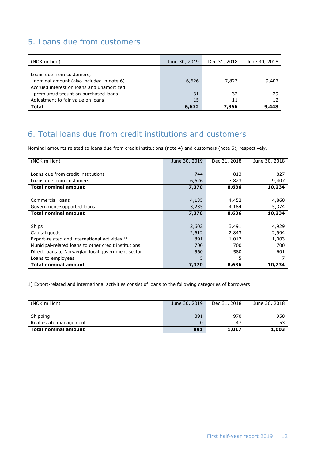# 5. Loans due from customers

| (NOK million)                                                                    | June 30, 2019 | Dec 31, 2018 | June 30, 2018 |
|----------------------------------------------------------------------------------|---------------|--------------|---------------|
| Loans due from customers,                                                        |               |              |               |
| nominal amount (also included in note 6)                                         | 6,626         | 7,823        | 9,407         |
| Accrued interest on loans and unamortized<br>premium/discount on purchased loans | 31            | 32           | 29            |
| Adjustment to fair value on loans                                                | 15            | 11           | 12            |
| Total                                                                            | 6,672         | 7,866        | 9,448         |

# 6. Total loans due from credit institutions and customers

Nominal amounts related to loans due from credit institutions (note 4) and customers (note 5), respectively.

| (NOK million)                                        | June 30, 2019 | Dec 31, 2018 | June 30, 2018 |
|------------------------------------------------------|---------------|--------------|---------------|
|                                                      |               |              |               |
| Loans due from credit institutions                   | 744           | 813          | 827           |
| Loans due from customers                             | 6,626         | 7,823        | 9,407         |
| <b>Total nominal amount</b>                          | 7,370         | 8,636        | 10,234        |
|                                                      |               |              |               |
| Commercial loans                                     | 4,135         | 4,452        | 4,860         |
| Government-supported loans                           | 3,235         | 4,184        | 5,374         |
| <b>Total nominal amount</b>                          | 7,370         | 8,636        | 10,234        |
|                                                      |               |              |               |
| Ships                                                | 2,602         | 3,491        | 4,929         |
| Capital goods                                        | 2,612         | 2,843        | 2,994         |
| Export-related and international activities 1)       | 891           | 1,017        | 1,003         |
| Municipal-related loans to other credit institutions | 700           | 700          | 700           |
| Direct loans to Norwegian local government sector    | 560           | 580          | 601           |
| Loans to employees                                   | 5.            | 5            |               |
| <b>Total nominal amount</b>                          | 7,370         | 8,636        | 10,234        |

1) Export-related and international activities consist of loans to the following categories of borrowers:

| (NOK million)               | June 30, 2019 | Dec 31, 2018 | June 30, 2018 |
|-----------------------------|---------------|--------------|---------------|
| Shipping                    | 891           | 970          | 950           |
| Real estate management      |               | 47           |               |
| <b>Total nominal amount</b> | 891           | 1,017        | 1,003         |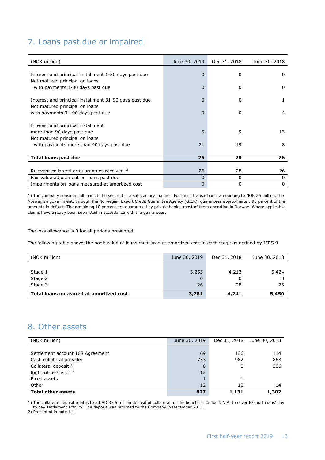## 7. Loans past due or impaired

| (NOK million)                                          | June 30, 2019 | Dec 31, 2018 | June 30, 2018 |
|--------------------------------------------------------|---------------|--------------|---------------|
|                                                        |               |              |               |
| Interest and principal installment 1-30 days past due  | $\mathbf 0$   | $\Omega$     | 0             |
| Not matured principal on loans                         |               |              |               |
| with payments 1-30 days past due                       | $\Omega$      | 0            | $\Omega$      |
|                                                        |               |              |               |
| Interest and principal installment 31-90 days past due | 0             | 0            | 1             |
| Not matured principal on loans                         |               |              |               |
| with payments 31-90 days past due                      | 0             | $\Omega$     | 4             |
|                                                        |               |              |               |
| Interest and principal installment                     |               |              |               |
| more than 90 days past due                             | 5             | 9            | 13            |
| Not matured principal on loans                         |               |              |               |
| with payments more than 90 days past due               | 21            | 19           | 8             |
|                                                        |               |              |               |
| <b>Total loans past due</b>                            | 26            | 28           | 26            |
|                                                        |               |              |               |
| Relevant collateral or guarantees received 1)          | 26            | 28           | 26            |
| Fair value adjustment on loans past due                | 0             | 0            | 0             |
| Impairments on loans measured at amortized cost        | 0             | 0            | $\mathbf{0}$  |

1) The company considers all loans to be secured in a satisfactory manner. For these transactions, amounting to NOK 26 million, the Norwegian government, through the Norwegian Export Credit Guarantee Agency (GIEK), guarantees approximately 90 percent of the amounts in default. The remaining 10 percent are guaranteed by private banks, most of them operating in Norway. Where applicable, claims have already been submitted in accordance with the guarantees.

The loss allowance is 0 for all periods presented.

The following table shows the book value of loans measured at amortized cost in each stage as defined by IFRS 9.

| (NOK million)                          | June 30, 2019 | Dec 31, 2018 | June 30, 2018 |
|----------------------------------------|---------------|--------------|---------------|
|                                        |               |              |               |
| Stage 1                                | 3,255         | 4,213        | 5,424         |
| Stage 2                                |               |              |               |
| Stage 3                                | 26            | 28           | 26            |
| Total loans measured at amortized cost | 3,281         | 4,241        | 5,450         |

## 8. Other assets

| (NOK million)                    | June 30, 2019 | Dec 31, 2018 | June 30, 2018 |
|----------------------------------|---------------|--------------|---------------|
|                                  |               |              |               |
| Settlement account 108 Agreement | 69            | 136          | 114           |
| Cash collateral provided         | 733           | 982          | 868           |
| Collateral deposit <sup>1)</sup> | $\Omega$      | 0            | 306           |
| Right-of-use asset <sup>2)</sup> | 12            |              |               |
| Fixed assets                     |               |              |               |
| Other                            | 12            | 12           | 14            |
| <b>Total other assets</b>        | 827           | 1,131        | 1,302         |

1) The collateral deposit relates to a USD 37.5 million deposit of collateral for the benefit of Citibank N.A. to cover Eksportfinans' day to day settlement activity. The deposit was returned to the Company in December 2018.

2) Presented in note 11.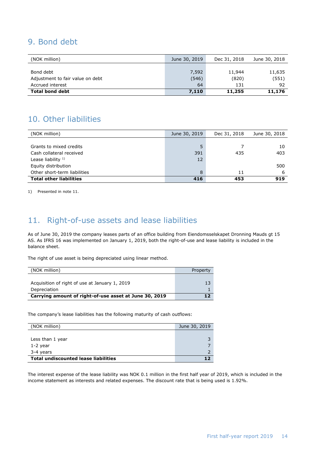## 9. Bond debt

| (NOK million)                    | June 30, 2019 | Dec 31, 2018 | June 30, 2018 |
|----------------------------------|---------------|--------------|---------------|
|                                  |               |              |               |
| Bond debt                        | 7,592         | 11,944       | 11,635        |
| Adjustment to fair value on debt | (546)         | (820)        | (551)         |
| Accrued interest                 | 64            | 131          | 92            |
| <b>Total bond debt</b>           | 7,110         | 11,255       | 11,176        |

## 10. Other liabilities

| (NOK million)                  | June 30, 2019 | Dec 31, 2018 | June 30, 2018 |
|--------------------------------|---------------|--------------|---------------|
|                                |               |              |               |
| Grants to mixed credits        | 5             |              | 10            |
| Cash collateral received       | 391           | 435          | 403           |
| Lease liability $1$ )          | 12            |              |               |
| Equity distribution            |               |              | 500           |
| Other short-term liabilities   | 8             | 11           | 6             |
| <b>Total other liabilities</b> | 416           | 453          | 919           |

1) Presented in note 11.

# 11. Right-of-use assets and lease liabilities

As of June 30, 2019 the company leases parts of an office building from Eiendomsselskapet Dronning Mauds gt 15 AS. As IFRS 16 was implemented on January 1, 2019, both the right-of-use and lease liability is included in the balance sheet.

The right of use asset is being depreciated using linear method.

| (NOK million)                                          | Property |
|--------------------------------------------------------|----------|
|                                                        |          |
| Acquisition of right of use at January 1, 2019         | 13       |
| Depreciation                                           |          |
| Carrying amount of right-of-use asset at June 30, 2019 |          |

The company's lease liabilities has the following maturity of cash outflows:

| (NOK million)                               | June 30, 2019 |
|---------------------------------------------|---------------|
|                                             |               |
| Less than 1 year                            |               |
| 1-2 year                                    |               |
| 3-4 years                                   |               |
| <b>Total undiscounted lease liabilities</b> |               |

The interest expense of the lease liability was NOK 0.1 million in the first half year of 2019, which is included in the income statement as interests and related expenses. The discount rate that is being used is 1.92%.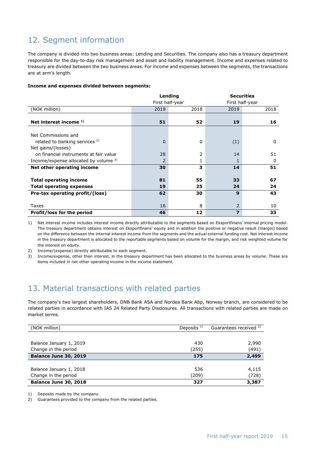# 12. Segment information

The company is divided into two business areas: Lending and Securities. The company also has a treasury department responsible for the day-to-day risk management and asset and liability management. Income and expenses related to treasury are divided between the two business areas. For income and expenses between the segments, the transactions are at arm's length.

#### **Income and expenses divided between segments:**

|                                           |                 | Lending  | <b>Securities</b> |                 |  |  |
|-------------------------------------------|-----------------|----------|-------------------|-----------------|--|--|
|                                           | First half-year |          |                   | First half-year |  |  |
| (NOK million)                             | 2019            | 2018     | 2019              | 2018            |  |  |
|                                           |                 |          |                   |                 |  |  |
| Net interest income $1$ )                 | 51              | 52       | 19                | 16              |  |  |
|                                           |                 |          |                   |                 |  |  |
| Net Commissions and                       |                 |          |                   |                 |  |  |
| related to banking services <sup>2)</sup> | $\mathbf 0$     | $\Omega$ | (1)               | 0               |  |  |
| Net gains/(losses)                        |                 |          |                   |                 |  |  |
| on financial instruments at fair value    | 28              | 2        | 14                | 51              |  |  |
| Income/expense allocated by volume $3$ )  | 2               |          | 1                 | 0               |  |  |
| Net other operating income                | 30              | 3        | 14                | 51              |  |  |
|                                           |                 |          |                   |                 |  |  |
| <b>Total operating income</b>             | 81              | 55       | 33                | 67              |  |  |
| <b>Total operating expenses</b>           | 19              | 25       | 24                | 24              |  |  |
| Pre-tax operating profit/(loss)           | 62              | 30       | 9                 | 43              |  |  |
|                                           |                 |          |                   |                 |  |  |
| Taxes                                     | 16              | 8        | $\overline{2}$    | 10              |  |  |
| Profit/loss for the period                | 46              | 12       | $\overline{z}$    | 33              |  |  |

1) Net interest income includes interest income directly attributable to the segments based on Eksportfinans' internal pricing model. The treasury department obtains interest on Eksportfinans' equity and in addition the positive or negative result (margin) based on the difference between the internal interest income from the segments and the actual external funding cost. Net interest income in the treasury department is allocated to the reportable segments based on volume for the margin, and risk weighted volume for the interest on equity.

2) Income/(expense) directly attributable to each segment.

3) Income/expense, other than interest, in the treasury department has been allocated to the business areas by volume. These are items included in net other operating income in the income statement.

## 13. Material transactions with related parties

The company's two largest shareholders, DNB Bank ASA and Nordea Bank Abp, Norway branch, are considered to be related parties in accordance with IAS 24 Related Party Disclosures. All transactions with related parties are made on market terms.

| (NOK million)                | Deposits $1$ ) | Guarantees received <sup>2)</sup> |
|------------------------------|----------------|-----------------------------------|
|                              |                |                                   |
| Balance January 1, 2019      | 430            | 2,990                             |
| Change in the period         | (255)          | (491)                             |
| Balance June 30, 2019        | 175            | 2,499                             |
|                              |                |                                   |
| Balance January 1, 2018      | 536            | 4,115                             |
| Change in the period         | (209)          | (728)                             |
| <b>Balance June 30, 2018</b> | 327            | 3,387                             |

1) Deposits made by the company.

2) Guarantees provided to the company from the related parties.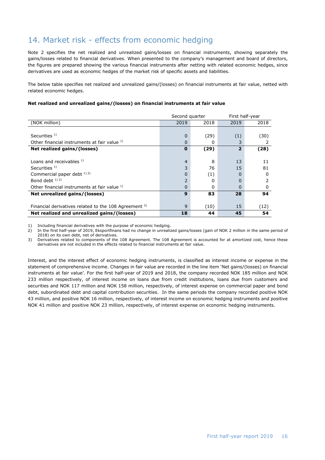# 14. Market risk - effects from economic hedging

Note 2 specifies the net realized and unrealized gains/losses on financial instruments, showing separately the gains/losses related to financial derivatives. When presented to the company's management and board of directors, the figures are prepared showing the various financial instruments after netting with related economic hedges, since derivatives are used as economic hedges of the market risk of specific assets and liabilities.

The below table specifies net realized and unrealized gains/(losses) on financial instruments at fair value, netted with related economic hedges.

#### **Net realized and unrealized gains/(losses) on financial instruments at fair value**

|                                                       | Second quarter |      | First half-year |      |  |
|-------------------------------------------------------|----------------|------|-----------------|------|--|
| (NOK million)                                         | 2019           | 2018 | 2019            | 2018 |  |
|                                                       |                |      |                 |      |  |
| Securities $1$ )                                      | $\Omega$       | (29) | (1)             | (30) |  |
| Other financial instruments at fair value 1)          | 0              | 0    |                 |      |  |
| Net realized gains/(losses)                           | $\bf{0}$       | (29) | $\overline{2}$  | (28) |  |
|                                                       |                |      |                 |      |  |
| Loans and receivables $1$ )                           | 4              | 8    | 13              | 11   |  |
| Securities <sup>1)</sup>                              | 3              | 76   | 15              | 81   |  |
| Commercial paper debt 1) 2)                           | 0              | (1)  | 0               | 0    |  |
| Bond debt $12$ )                                      | $\overline{2}$ | 0    | $\Omega$        |      |  |
| Other financial instruments at fair value 1)          | 0              | 0    | $\Omega$        |      |  |
| Net unrealized gains/(losses)                         | 9              | 83   | 28              | 94   |  |
|                                                       |                |      |                 |      |  |
| Financial derivatives related to the 108 Agreement 3) | 9              | (10) | 15              | (12) |  |
| Net realized and unrealized gains/(losses)            | 18             | 44   | 45              | 54   |  |

1) Including financial derivatives with the purpose of economic hedging.<br>2) In the first half-vear of 2019. Eksportfinans had no change in unrealize

2) In the first half-year of 2019, Eksportfinans had no change in unrealized gains/losses (gain of NOK 2 million in the same period of 2018) on its own debt, net of derivatives.

3) Derivatives related to components of the 108 Agreement. The 108 Agreement is accounted for at amortized cost, hence these derivatives are not included in the effects related to financial instruments at fair value.

Interest, and the interest effect of economic hedging instruments, is classified as interest income or expense in the statement of comprehensive income. Changes in fair value are recorded in the line item 'Net gains/(losses) on financial instruments at fair value'. For the first half-year of 2019 and 2018, the company recorded NOK 185 million and NOK 233 million respectively, of interest income on loans due from credit institutions, loans due from customers and securities and NOK 117 million and NOK 158 million, respectively, of interest expense on commercial paper and bond debt, subordinated debt and capital contribution securities. In the same periods the company recorded positive NOK 43 million, and positive NOK 16 million, respectively, of interest income on economic hedging instruments and positive NOK 41 million and positive NOK 23 million, respectively, of interest expense on economic hedging instruments.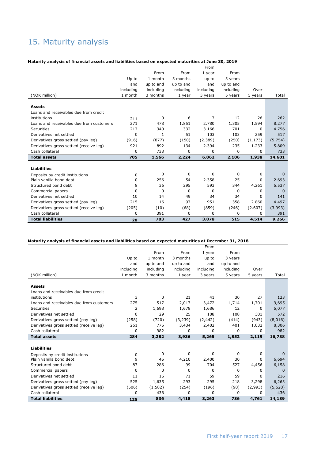# 15. Maturity analysis

#### **Maturity analysis of financial assets and liabilities based on expected maturities at June 30, 2019**

|                                          |           |           |           | From           |           |          |             |
|------------------------------------------|-----------|-----------|-----------|----------------|-----------|----------|-------------|
|                                          |           | From      | From      | 1 year         | From      |          |             |
|                                          | Up to     | 1 month   | 3 months  | up to          | 3 years   |          |             |
|                                          | and       | up to and | up to and | and            | up to and |          |             |
|                                          | including | including | including | including      | including | Over     |             |
| (NOK million)                            | 1 month   | 3 months  | 1 year    | 3 years        | 5 years   | 5 years  | Total       |
|                                          |           |           |           |                |           |          |             |
| <b>Assets</b>                            |           |           |           |                |           |          |             |
| Loans and receivables due from credit    |           |           |           |                |           |          |             |
| institutions                             | 211       | 0         | 6         | $\overline{7}$ | 12        | 26       | 262         |
| Loans and receivables due from customers | 271       | 478       | 1.851     | 2.780          | 1.305     | 1.594    | 8.277       |
| Securities                               | 217       | 340       | 332       | 3.166          | 701       | 0        | 4.756       |
| Derivatives net settled                  | $\Omega$  | 1         | 51        | 103            | 103       | 259      | 517         |
| Derivatives gross settled (pay leg)      | (916)     | (877)     | (150)     | (2.389)        | (250)     | (1.173)  | (5.754)     |
| Derivatives gross settled (receive leg)  | 921       | 892       | 134       | 2.394          | 235       | 1.233    | 5.809       |
| Cash collateral                          | $\Omega$  | 733       | $\Omega$  | 0              | $\Omega$  | 0        | 733         |
| <b>Total assets</b>                      | 705       | 1.566     | 2.224     | 6.062          | 2.106     | 1.938    | 14.601      |
|                                          |           |           |           |                |           |          |             |
| <b>Liabilities</b>                       |           |           |           |                |           |          |             |
| Deposits by credit institutions          | 0         | 0         | 0         | $\Omega$       | 0         | $\Omega$ | $\Omega$    |
| Plain vanilla bond debt                  | 0         | 256       | 54        | 2.358          | 25        | 0        | 2.693       |
| Structured bond debt                     | 8         | 36        | 295       | 593            | 344       | 4.261    | 5.537       |
| Commercial papers                        | 0         | 0         | 0         | 0              | 0         | 0        | $\mathbf 0$ |
| Derivatives net settled                  | 10        | 14        | 49        | 34             | 34        | 0        | 141         |
| Derivatives gross settled (pay leg)      | 215       | 16        | 97        | 951            | 358       | 2.860    | 4.497       |
| Derivatives gross settled (receive leg)  | (205)     | (10)      | (68)      | (859)          | (246)     | (2.607)  | (3.993)     |
| Cash collateral                          | 0         | 391       | 0         | 0              | 0         | 0        | 391         |
| <b>Total liabilities</b>                 | 28        | 703       | 427       | 3.078          | 515       | 4.514    | 9.266       |

#### **Maturity analysis of financial assets and liabilities based on expected maturities at December 31, 2018**

|                                          |           |           |             | From        |           |         |             |
|------------------------------------------|-----------|-----------|-------------|-------------|-----------|---------|-------------|
|                                          |           | From      | From        | 1 year      | From      |         |             |
|                                          | Up to     | 1 month   | 3 months    | up to       | 3 years   |         |             |
|                                          | and       | up to and | up to and   | and         | up to and |         |             |
|                                          | including | including | including   | including   | including | Over    |             |
| (NOK million)                            | 1 month   | 3 months  | 1 year      | 3 years     | 5 years   | 5 years | Total       |
|                                          |           |           |             |             |           |         |             |
| <b>Assets</b>                            |           |           |             |             |           |         |             |
| Loans and receivables due from credit    |           |           |             |             |           |         |             |
| institutions                             | 3         | $\Omega$  | 21          | 41          | 30        | 27      | 123         |
| Loans and receivables due from customers | 275       | 517       | 2,017       | 3,472       | 1,714     | 1,701   | 9,695       |
| Securities                               | 2         | 1,698     | 1,678       | 1,686       | 12        | 0       | 5,077       |
| Derivatives net settled                  | 0         | 29        | 25          | 108         | 108       | 301     | 572         |
| Derivatives gross settled (pay leg)      | (258)     | (720)     | (3, 239)    | (2, 442)    | (414)     | (943)   | (8,016)     |
| Derivatives gross settled (receive leg)  | 261       | 775       | 3,434       | 2,402       | 401       | 1,032   | 8,306       |
| Cash collateral                          | 0         | 982       | 0           | 0           | 0         | 0       | 982         |
| <b>Total assets</b>                      | 284       | 3,282     | 3,936       | 5,265       | 1,852     | 2,119   | 16,738      |
|                                          |           |           |             |             |           |         |             |
| <b>Liabilities</b>                       |           |           |             |             |           |         |             |
| Deposits by credit institutions          | 0         | 0         | $\mathbf 0$ | $\mathbf 0$ | 0         | 0       | $\mathbf 0$ |
| Plain vanilla bond debt                  | 9         | 45        | 4,210       | 2,400       | 30        | 0       | 6,694       |
| Structured bond debt                     | 87        | 286       | 99          | 704         | 527       | 4,456   | 6,158       |
| Commercial papers                        | 0         | 0         | 0           | 0           | 0         | 0       | $\mathbf 0$ |
| Derivatives net settled                  | 11        | 16        | 71          | 59          | 59        | 0       | 216         |
| Derivatives gross settled (pay leg)      | 525       | 1,635     | 293         | 295         | 218       | 3,298   | 6,263       |
| Derivatives gross settled (receive leg)  | (506)     | (1, 582)  | (254)       | (196)       | (98)      | (2,993) | (5,628)     |
| Cash collateral                          | 0         | 436       | $\Omega$    | 0           | 0         | 0       | 436         |
| <b>Total liabilities</b>                 | 125       | 836       | 4,418       | 3,263       | 736       | 4,761   | 14,139      |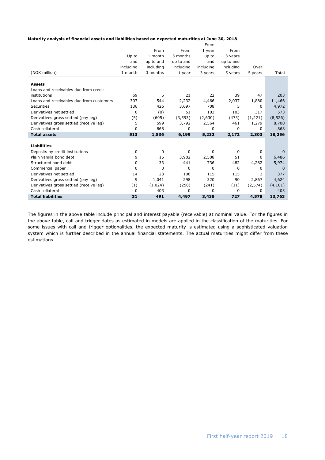|                                          |           |           |           | From      |           |          |              |
|------------------------------------------|-----------|-----------|-----------|-----------|-----------|----------|--------------|
|                                          |           | From      | From      | 1 year    | From      |          |              |
|                                          | Up to     | 1 month   | 3 months  | up to     | 3 years   |          |              |
|                                          | and       | up to and | up to and | and       | up to and |          |              |
|                                          | including | including | including | includina | including | Over     |              |
| (NOK million)                            | 1 month   | 3 months  | 1 year    | 3 years   | 5 years   | 5 years  | Total        |
| <b>Assets</b>                            |           |           |           |           |           |          |              |
| Loans and receivables due from credit    |           |           |           |           |           |          |              |
| institutions                             | 69        | 5         | 21        | 22        | 39        | 47       | 203          |
| Loans and receivables due from customers | 307       | 544       | 2,232     | 4,466     | 2,037     | 1,880    | 11,466       |
| Securities                               | 136       | 426       | 3,697     | 708       | 5         | 0        | 4,972        |
| Derivatives net settled                  | 0         | (0)       | 51        | 103       | 103       | 317      | 573          |
| Derivatives gross settled (pay leg)      | (5)       | (605)     | (3, 593)  | (2,630)   | (473)     | (1,221)  | (8, 526)     |
| Derivatives gross settled (receive leg)  | 5         | 599       | 3,792     | 2,564     | 461       | 1,279    | 8,700        |
| Cash collateral                          | 0         | 868       | 0         | 0         | 0         | 0        | 868          |
| <b>Total assets</b>                      | 513       | 1,836     | 6,199     | 5,232     | 2,172     | 2,303    | 18,256       |
|                                          |           |           |           |           |           |          |              |
| <b>Liabilities</b>                       |           |           |           |           |           |          |              |
| Deposits by credit institutions          | 0         | 0         | 0         | 0         | 0         | 0        | $\mathbf{0}$ |
| Plain vanilla bond debt                  | 9         | 15        | 3,902     | 2,508     | 51        | 0        | 6,486        |
| Structured bond debt                     | 0         | 33        | 441       | 736       | 482       | 4,282    | 5,974        |
| Commercial paper                         | 0         | 0         | 0         | 0         | 0         | 0        | 0            |
| Derivatives net settled                  | 14        | 23        | 106       | 115       | 115       | 3        | 377          |
| Derivatives gross settled (pay leg)      | 9         | 1,041     | 298       | 320       | 90        | 2,867    | 4,624        |
| Derivatives gross settled (receive leg)  | (1)       | (1,024)   | (250)     | (241)     | (11)      | (2, 574) | (4, 101)     |
| Cash collateral                          | 0         | 403       | $\Omega$  | 0         | $\Omega$  | 0        | 403          |
| <b>Total liabilities</b>                 | 31        | 491       | 4,497     | 3,438     | 727       | 4,578    | 13,763       |

The figures in the above table include principal and interest payable (receivable) at nominal value. For the figures in the above table, call and trigger dates as estimated in models are applied in the classification of the maturities. For some issues with call and trigger optionalities, the expected maturity is estimated using a sophisticated valuation system which is further described in the annual financial statements. The actual maturities might differ from these estimations.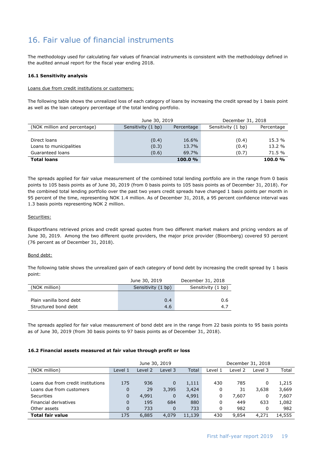# 16. Fair value of financial instruments

The methodology used for calculating fair values of financial instruments is consistent with the methodology defined in the audited annual report for the fiscal year ending 2018.

#### **16.1 Sensitivity analysis**

#### Loans due from credit institutions or customers:

The following table shows the unrealized loss of each category of loans by increasing the credit spread by 1 basis point as well as the loan category percentage of the total lending portfolio.

|                              | June 30, 2019      |            | December 31, 2018  |            |  |
|------------------------------|--------------------|------------|--------------------|------------|--|
| (NOK million and percentage) | Sensitivity (1 bp) | Percentage | Sensitivity (1 bp) | Percentage |  |
|                              |                    |            |                    |            |  |
| Direct loans                 | (0.4)              | 16.6%      | (0.4)              | 15.3 %     |  |
| Loans to municipalities      | (0.3)              | 13.7%      | (0.4)              | $13.2 \%$  |  |
| Guaranteed loans             | (0.6)              | 69.7%      | (0.7)              | 71.5 %     |  |
| <b>Total loans</b>           |                    | 100.0%     |                    | 100.0%     |  |

The spreads applied for fair value measurement of the combined total lending portfolio are in the range from 0 basis points to 105 basis points as of June 30, 2019 (from 0 basis points to 105 basis points as of December 31, 2018). For the combined total lending portfolio over the past two years credit spreads have changed 1 basis points per month in 95 percent of the time, representing NOK 1.4 million. As of December 31, 2018, a 95 percent confidence interval was 1.3 basis points representing NOK 2 million.

#### Securities:

Eksportfinans retrieved prices and credit spread quotes from two different market makers and pricing vendors as of June 30, 2019. Among the two different quote providers, the major price provider (Bloomberg) covered 93 percent (76 percent as of December 31, 2018).

#### Bond debt:

The following table shows the unrealized gain of each category of bond debt by increasing the credit spread by 1 basis point:

|                         | June 30, 2019      | December 31, 2018  |
|-------------------------|--------------------|--------------------|
| (NOK million)           | Sensitivity (1 bp) | Sensitivity (1 bp) |
|                         |                    |                    |
| Plain vanilla bond debt | 0.4                | 0.6                |
| Structured bond debt    | 4.6                | 4.7                |

The spreads applied for fair value measurement of bond debt are in the range from 22 basis points to 95 basis points as of June 30, 2019 (from 30 basis points to 97 basis points as of December 31, 2018).

#### **16.2 Financial assets measured at fair value through profit or loss**

|                                    | June 30, 2019 |         |             |        | December 31, 2018 |         |         |        |
|------------------------------------|---------------|---------|-------------|--------|-------------------|---------|---------|--------|
| (NOK million)                      | Level 1       | Level 2 | Level 3     | Total  | Level 1           | Level 2 | Level 3 | Total  |
|                                    |               |         |             |        |                   |         |         |        |
| Loans due from credit institutions | 175           | 936     | 0           | 1,111  | 430               | 785     | 0       | 1,215  |
| Loans due from customers           | 0             | 29      | 3,395       | 3,424  | 0                 | 31      | 3,638   | 3,669  |
| <b>Securities</b>                  | 0             | 4,991   | $\mathbf 0$ | 4,991  | 0                 | 7,607   | 0       | 7,607  |
| Financial derivatives              | $\Omega$      | 195     | 684         | 880    | 0                 | 449     | 633     | 1,082  |
| Other assets                       | $\Omega$      | 733     | $\Omega$    | 733    | 0                 | 982     |         | 982    |
| <b>Total fair value</b>            | 175           | 6,885   | 4,079       | 11,139 | 430               | 9,854   | 4,271   | 14,555 |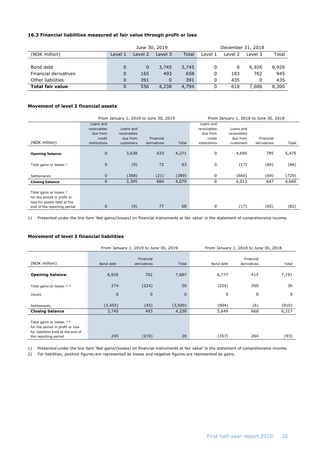#### **16.3 Financial liabilities measured at fair value through profit or loss**

|                         | June 30, 2019 |         |         |       | December 31, 2018 |         |         |       |
|-------------------------|---------------|---------|---------|-------|-------------------|---------|---------|-------|
| (NOK million)           | Level 1       | Level 2 | Level 3 | Total | Level 1           | Level 2 | Level 3 | Total |
|                         |               |         |         |       |                   |         |         |       |
| Bond debt               | 0             | 0       | 3,745   | 3,745 | 0                 | 0       | 6,926   | 6,926 |
| Financial derivatives   | 0             | 165     | 493     | 658   | 0                 | 183     | 762     | 945   |
| Other liabilities       | 0             | 391     | 0       | 391   | 0                 | 435     |         | 435   |
| <b>Total fair value</b> |               | 556     | 4,238   | 4,794 |                   | 618     | 7.688   | 8,306 |

#### **Movement of level 3 financial assets**

|                                                                                                                       |                                                | From January 1, 2019 to June 30, 2019 |             | From January 1, 2018 to June 30, 2018 |                                                |                                      |             |       |
|-----------------------------------------------------------------------------------------------------------------------|------------------------------------------------|---------------------------------------|-------------|---------------------------------------|------------------------------------------------|--------------------------------------|-------------|-------|
|                                                                                                                       | Loans and<br>receivables<br>due from<br>credit | Loans and<br>receivables<br>due from  | Financial   |                                       | Loans and<br>receivables<br>due from<br>credit | Loans and<br>receivables<br>due from | Financial   |       |
| (NOK million)                                                                                                         | institutions                                   | customers                             | derivatives | Total                                 | institutions                                   | customers                            | derivatives | Total |
| <b>Opening balance</b>                                                                                                | $\mathbf 0$                                    | 3,638                                 | 633         | 4,271                                 | 0                                              | 4,690                                | 785         | 5,475 |
| Total gains or losses !)                                                                                              | $\mathbf{0}$                                   | (9)                                   | 72          | 63                                    | 0                                              | (17)                                 | (69)        | (86)  |
| <b>Settlements</b>                                                                                                    | $\mathbf{0}$                                   | (368)                                 | (21)        | (389)                                 | 0                                              | (660)                                | (69)        | (729) |
| <b>Closing balance</b>                                                                                                | $\mathbf 0$                                    | 3,395                                 | 684         | 4,079                                 | 0                                              | 4,013                                | 647         | 4,660 |
| Total gains or losses !)<br>for the period in profit or<br>loss for assets held at the<br>end of the reporting period | $\mathbf 0$                                    | (9)                                   | 77          | 68                                    | 0                                              | (17)                                 | (65)        | (82)  |

1) Presented under the line item 'Net gains/(losses) on financial instruments at fair value' in the statement of comprehensive income.

#### **Movement of level 3 financial liabilities**

|                                                                                                                                |             | From January 1, 2019 to June 30, 2019 |              |           | From January 1, 2018 to June 30, 2018 |       |
|--------------------------------------------------------------------------------------------------------------------------------|-------------|---------------------------------------|--------------|-----------|---------------------------------------|-------|
| (NOK million)                                                                                                                  | Bond debt   | Financial<br>derivatives              | Total        | Bond debt | Financial<br>derivatives              | Total |
| <b>Opening balance</b>                                                                                                         | 6,926       | 762                                   | 7,687        | 6,777     | 414                                   | 7,191 |
| Total gains or losses 1) 2)                                                                                                    | 274         | (224)                                 | 50           | (224)     | 260                                   | 36    |
| Issues                                                                                                                         | $\mathbf 0$ | $\mathbf 0$                           | $\mathbf{0}$ | 0         | 0                                     | 0     |
| <b>Settlements</b>                                                                                                             | (3, 455)    | (45)                                  | (3,500)      | (904)     | (6)                                   | (910) |
| <b>Closing balance</b>                                                                                                         | 3,745       | 493                                   | 4,238        | 5,649     | 668                                   | 6,317 |
| Total gains or losses $12$ )<br>for the period in profit or loss<br>for liabilities held at the end of<br>the reporting period | 245         | (219)                                 | 26           | (357)     | 264                                   | (93)  |

1) Presented under the line item 'Net gains/(losses) on financial instruments at fair value' in the statement of comprehensive income.

2) For liabilities, positive figures are represented as losses and negative figures are represented as gains.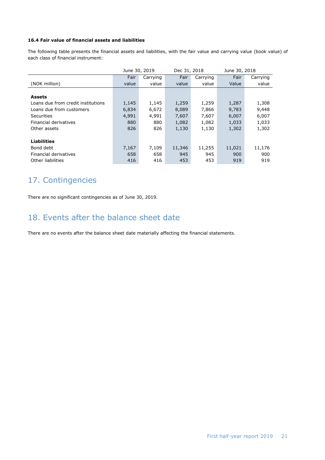#### **16.4 Fair value of financial assets and liabilities**

The following table presents the financial assets and liabilities, with the fair value and carrying value (book value) of each class of financial instrument:

|                                    | June 30, 2019 |          | Dec 31, 2018 |          | June 30, 2018 |          |
|------------------------------------|---------------|----------|--------------|----------|---------------|----------|
|                                    | Fair          | Carrying | Fair         | Carrying | Fair          | Carrying |
| (NOK million)                      | value         | value    | value        | value    | Value         | value    |
|                                    |               |          |              |          |               |          |
| <b>Assets</b>                      |               |          |              |          |               |          |
| Loans due from credit institutions | 1,145         | 1,145    | 1,259        | 1,259    | 1,287         | 1,308    |
| Loans due from customers           | 6,834         | 6,672    | 8,089        | 7,866    | 9,783         | 9,448    |
| <b>Securities</b>                  | 4,991         | 4,991    | 7,607        | 7,607    | 6,007         | 6,007    |
| Financial derivatives              | 880           | 880      | 1,082        | 1,082    | 1,033         | 1,033    |
| Other assets                       | 826           | 826      | 1,130        | 1,130    | 1,302         | 1,302    |
|                                    |               |          |              |          |               |          |
| <b>Liabilities</b>                 |               |          |              |          |               |          |
| Bond debt                          | 7,167         | 7,109    | 11,346       | 11,255   | 11,021        | 11,176   |
| Financial derivatives              | 658           | 658      | 945          | 945      | 900           | 900      |
| Other liabilities                  | 416           | 416      | 453          | 453      | 919           | 919      |

# 17. Contingencies

There are no significant contingencies as of June 30, 2019.

## 18. Events after the balance sheet date

There are no events after the balance sheet date materially affecting the financial statements.